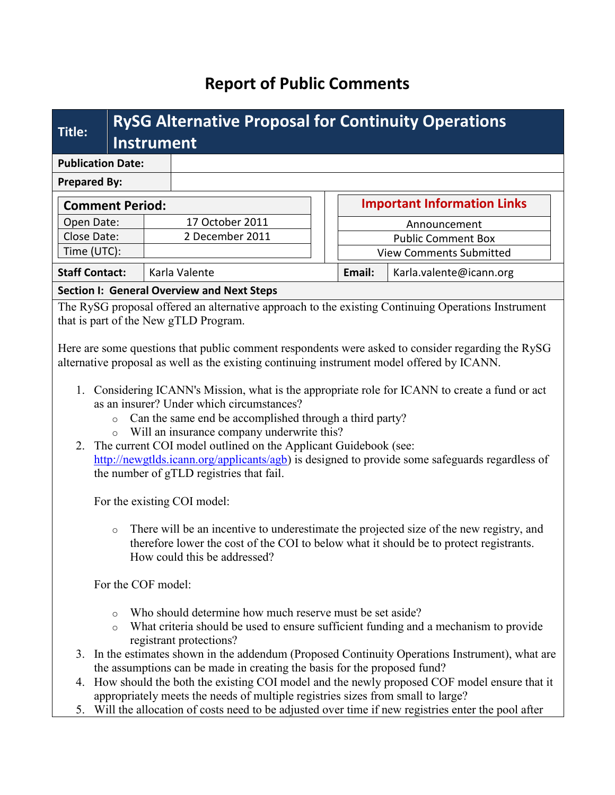# **Report of Public Comments**

| Title:                   | <b>RySG Alternative Proposal for Continuity Operations</b><br><b>Instrument</b> |  |                                                   |  |                                |                         |  |
|--------------------------|---------------------------------------------------------------------------------|--|---------------------------------------------------|--|--------------------------------|-------------------------|--|
| <b>Publication Date:</b> |                                                                                 |  |                                                   |  |                                |                         |  |
| <b>Prepared By:</b>      |                                                                                 |  |                                                   |  |                                |                         |  |
| <b>Comment Period:</b>   |                                                                                 |  | <b>Important Information Links</b>                |  |                                |                         |  |
| Open Date:               |                                                                                 |  | 17 October 2011                                   |  | Announcement                   |                         |  |
| Close Date:              |                                                                                 |  | 2 December 2011                                   |  | <b>Public Comment Box</b>      |                         |  |
| Time (UTC):              |                                                                                 |  |                                                   |  | <b>View Comments Submitted</b> |                         |  |
| <b>Staff Contact:</b>    |                                                                                 |  | Karla Valente                                     |  | Email:                         | Karla.valente@icann.org |  |
|                          |                                                                                 |  | <b>Section I: General Overview and Next Steps</b> |  |                                |                         |  |

The RySG proposal offered an alternative approach to the existing Continuing Operations Instrument that is part of the New gTLD Program.

Here are some questions that public comment respondents were asked to consider regarding the RySG alternative proposal as well as the existing continuing instrument model offered by ICANN.

- 1. Considering ICANN's Mission, what is the appropriate role for ICANN to create a fund or act as an insurer? Under which circumstances?
	- o Can the same end be accomplished through a third party?
	- o Will an insurance company underwrite this?
- 2. The current COI model outlined on the Applicant Guidebook (see: [http://newgtlds.icann.org/applicants/agb\)](http://newgtlds.icann.org/applicants/agb) is designed to provide some safeguards regardless of the number of gTLD registries that fail.

For the existing COI model:

o There will be an incentive to underestimate the projected size of the new registry, and therefore lower the cost of the COI to below what it should be to protect registrants. How could this be addressed?

For the COF model:

- o Who should determine how much reserve must be set aside?
- o What criteria should be used to ensure sufficient funding and a mechanism to provide registrant protections?
- 3. In the estimates shown in the addendum (Proposed Continuity Operations Instrument), what are the assumptions can be made in creating the basis for the proposed fund?
- 4. How should the both the existing COI model and the newly proposed COF model ensure that it appropriately meets the needs of multiple registries sizes from small to large?
- 5. Will the allocation of costs need to be adjusted over time if new registries enter the pool after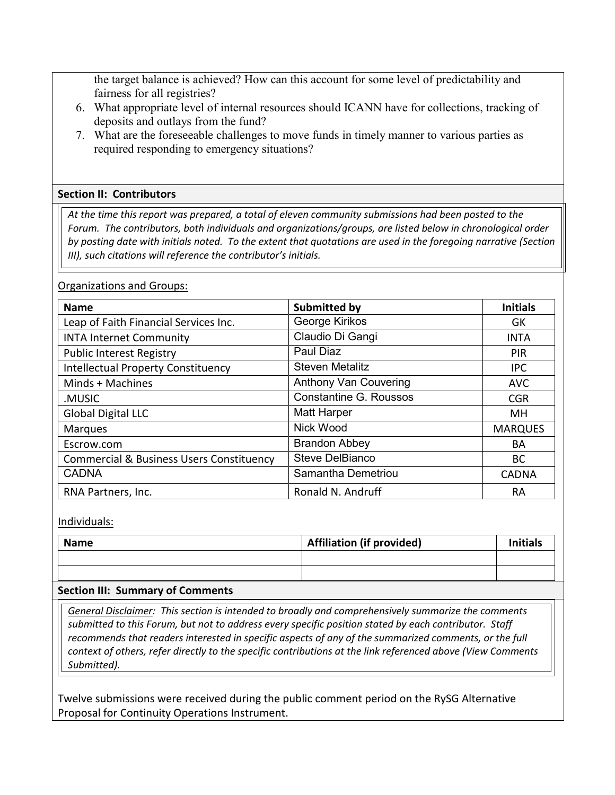the target balance is achieved? How can this account for some level of predictability and fairness for all registries?

- 6. What appropriate level of internal resources should ICANN have for collections, tracking of deposits and outlays from the fund?
- 7. What are the foreseeable challenges to move funds in timely manner to various parties as required responding to emergency situations?

#### **Section II: Contributors**

*At the time this report was prepared, a total of eleven community submissions had been posted to the Forum. The contributors, both individuals and organizations/groups, are listed below in chronological order by posting date with initials noted. To the extent that quotations are used in the foregoing narrative (Section III), such citations will reference the contributor's initials.*

#### Organizations and Groups:

| <b>Name</b>                                         | <b>Submitted by</b>           | <b>Initials</b> |
|-----------------------------------------------------|-------------------------------|-----------------|
| Leap of Faith Financial Services Inc.               | George Kirikos                | GK              |
| <b>INTA Internet Community</b>                      | Claudio Di Gangi              | <b>INTA</b>     |
| <b>Public Interest Registry</b>                     | Paul Diaz                     | <b>PIR</b>      |
| <b>Intellectual Property Constituency</b>           | <b>Steven Metalitz</b>        | <b>IPC</b>      |
| Minds + Machines                                    | Anthony Van Couvering         | <b>AVC</b>      |
| .MUSIC                                              | <b>Constantine G. Roussos</b> | <b>CGR</b>      |
| <b>Global Digital LLC</b>                           | <b>Matt Harper</b>            | MН              |
| <b>Marques</b>                                      | Nick Wood                     | <b>MARQUES</b>  |
| Escrow.com                                          | <b>Brandon Abbey</b>          | BA              |
| <b>Commercial &amp; Business Users Constituency</b> | Steve DelBianco               | BC.             |
| <b>CADNA</b>                                        | Samantha Demetriou            | <b>CADNA</b>    |
| RNA Partners, Inc.                                  | Ronald N. Andruff             | RA              |

#### Individuals:

| <b>Name</b> | Affiliation (if provided) | <b>Initials</b> |
|-------------|---------------------------|-----------------|
|             |                           |                 |
|             |                           |                 |

#### **Section III: Summary of Comments**

*General Disclaimer: This section is intended to broadly and comprehensively summarize the comments submitted to this Forum, but not to address every specific position stated by each contributor. Staff recommends that readers interested in specific aspects of any of the summarized comments, or the full context of others, refer directly to the specific contributions at the link referenced above (View Comments Submitted).* 

Twelve submissions were received during the public comment period on the RySG Alternative Proposal for Continuity Operations Instrument.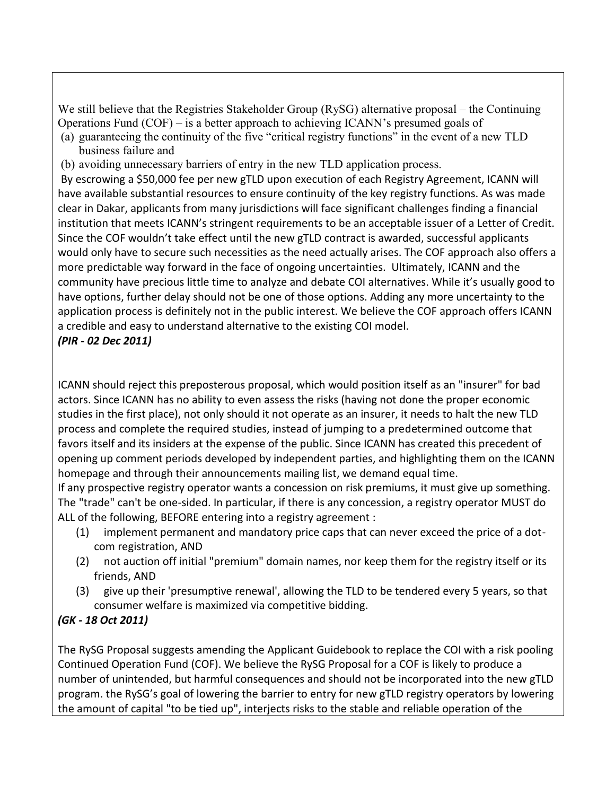We still believe that the Registries Stakeholder Group (RySG) alternative proposal – the Continuing Operations Fund (COF) – is a better approach to achieving ICANN's presumed goals of (a) guaranteeing the continuity of the five "critical registry functions" in the event of a new TLD

- business failure and
- (b) avoiding unnecessary barriers of entry in the new TLD application process.

By escrowing a \$50,000 fee per new gTLD upon execution of each Registry Agreement, ICANN will have available substantial resources to ensure continuity of the key registry functions. As was made clear in Dakar, applicants from many jurisdictions will face significant challenges finding a financial institution that meets ICANN's stringent requirements to be an acceptable issuer of a Letter of Credit. Since the COF wouldn't take effect until the new gTLD contract is awarded, successful applicants would only have to secure such necessities as the need actually arises. The COF approach also offers a more predictable way forward in the face of ongoing uncertainties. Ultimately, ICANN and the community have precious little time to analyze and debate COI alternatives. While it's usually good to have options, further delay should not be one of those options. Adding any more uncertainty to the application process is definitely not in the public interest. We believe the COF approach offers ICANN a credible and easy to understand alternative to the existing COI model.

### *(PIR - 02 Dec 2011)*

ICANN should reject this preposterous proposal, which would position itself as an "insurer" for bad actors. Since ICANN has no ability to even assess the risks (having not done the proper economic studies in the first place), not only should it not operate as an insurer, it needs to halt the new TLD process and complete the required studies, instead of jumping to a predetermined outcome that favors itself and its insiders at the expense of the public. Since ICANN has created this precedent of opening up comment periods developed by independent parties, and highlighting them on the ICANN homepage and through their announcements mailing list, we demand equal time.

If any prospective registry operator wants a concession on risk premiums, it must give up something. The "trade" can't be one-sided. In particular, if there is any concession, a registry operator MUST do ALL of the following, BEFORE entering into a registry agreement :

- (1) implement permanent and mandatory price caps that can never exceed the price of a dotcom registration, AND
- (2) not auction off initial "premium" domain names, nor keep them for the registry itself or its friends, AND
- (3) give up their 'presumptive renewal', allowing the TLD to be tendered every 5 years, so that consumer welfare is maximized via competitive bidding.

# *(GK - 18 Oct 2011)*

The RySG Proposal suggests amending the Applicant Guidebook to replace the COI with a risk pooling Continued Operation Fund (COF). We believe the RySG Proposal for a COF is likely to produce a number of unintended, but harmful consequences and should not be incorporated into the new gTLD program. the RySG's goal of lowering the barrier to entry for new gTLD registry operators by lowering the amount of capital "to be tied up", interjects risks to the stable and reliable operation of the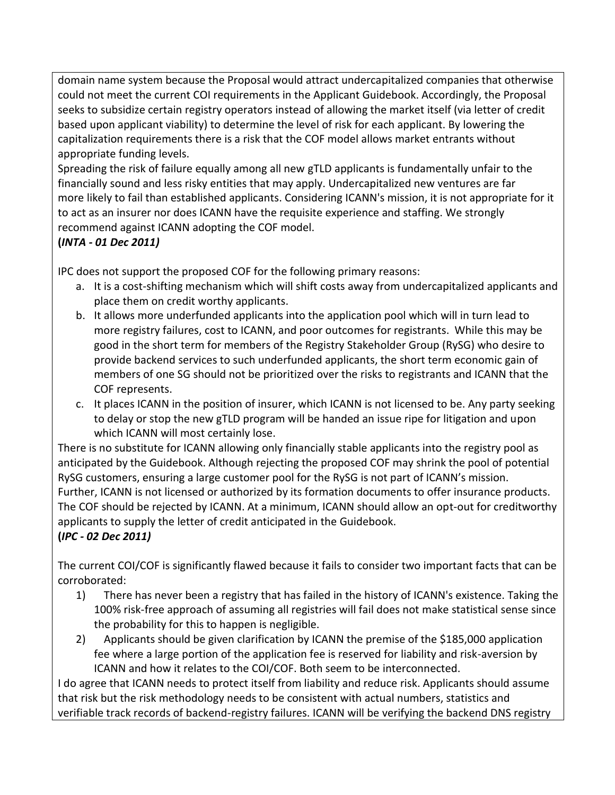domain name system because the Proposal would attract undercapitalized companies that otherwise could not meet the current COI requirements in the Applicant Guidebook. Accordingly, the Proposal seeks to subsidize certain registry operators instead of allowing the market itself (via letter of credit based upon applicant viability) to determine the level of risk for each applicant. By lowering the capitalization requirements there is a risk that the COF model allows market entrants without appropriate funding levels.

Spreading the risk of failure equally among all new gTLD applicants is fundamentally unfair to the financially sound and less risky entities that may apply. Undercapitalized new ventures are far more likely to fail than established applicants. Considering ICANN's mission, it is not appropriate for it to act as an insurer nor does ICANN have the requisite experience and staffing. We strongly recommend against ICANN adopting the COF model.

# **(***INTA - 01 Dec 2011)*

IPC does not support the proposed COF for the following primary reasons:

- a. It is a cost-shifting mechanism which will shift costs away from undercapitalized applicants and place them on credit worthy applicants.
- b. It allows more underfunded applicants into the application pool which will in turn lead to more registry failures, cost to ICANN, and poor outcomes for registrants. While this may be good in the short term for members of the Registry Stakeholder Group (RySG) who desire to provide backend services to such underfunded applicants, the short term economic gain of members of one SG should not be prioritized over the risks to registrants and ICANN that the COF represents.
- c. It places ICANN in the position of insurer, which ICANN is not licensed to be. Any party seeking to delay or stop the new gTLD program will be handed an issue ripe for litigation and upon which ICANN will most certainly lose.

There is no substitute for ICANN allowing only financially stable applicants into the registry pool as anticipated by the Guidebook. Although rejecting the proposed COF may shrink the pool of potential RySG customers, ensuring a large customer pool for the RySG is not part of ICANN's mission. Further, ICANN is not licensed or authorized by its formation documents to offer insurance products. The COF should be rejected by ICANN. At a minimum, ICANN should allow an opt-out for creditworthy applicants to supply the letter of credit anticipated in the Guidebook.

# **(***IPC - 02 Dec 2011)*

The current COI/COF is significantly flawed because it fails to consider two important facts that can be corroborated:

- 1) There has never been a registry that has failed in the history of ICANN's existence. Taking the 100% risk-free approach of assuming all registries will fail does not make statistical sense since the probability for this to happen is negligible.
- 2) Applicants should be given clarification by ICANN the premise of the \$185,000 application fee where a large portion of the application fee is reserved for liability and risk-aversion by ICANN and how it relates to the COI/COF. Both seem to be interconnected.

I do agree that ICANN needs to protect itself from liability and reduce risk. Applicants should assume that risk but the risk methodology needs to be consistent with actual numbers, statistics and verifiable track records of backend-registry failures. ICANN will be verifying the backend DNS registry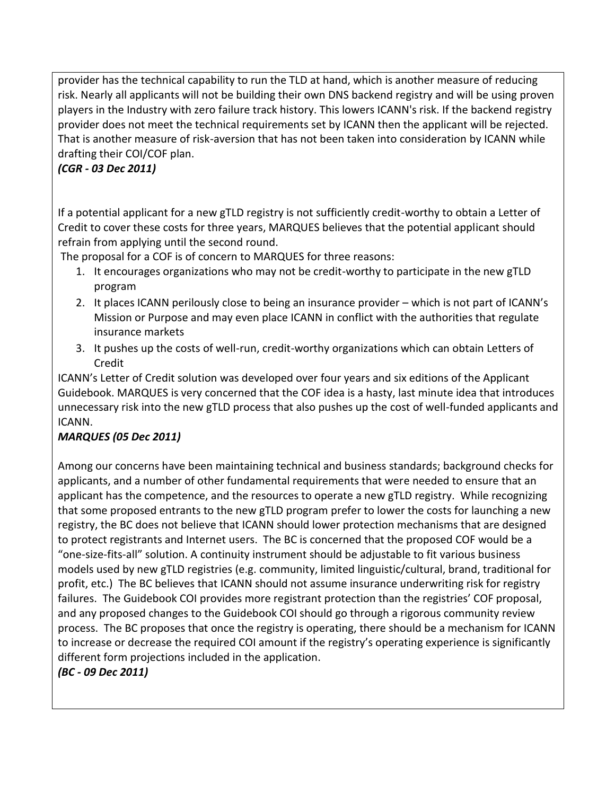provider has the technical capability to run the TLD at hand, which is another measure of reducing risk. Nearly all applicants will not be building their own DNS backend registry and will be using proven players in the Industry with zero failure track history. This lowers ICANN's risk. If the backend registry provider does not meet the technical requirements set by ICANN then the applicant will be rejected. That is another measure of risk-aversion that has not been taken into consideration by ICANN while drafting their COI/COF plan.

# *(CGR - 03 Dec 2011)*

If a potential applicant for a new gTLD registry is not sufficiently credit-worthy to obtain a Letter of Credit to cover these costs for three years, MARQUES believes that the potential applicant should refrain from applying until the second round.

The proposal for a COF is of concern to MARQUES for three reasons:

- 1. It encourages organizations who may not be credit-worthy to participate in the new gTLD program
- 2. It places ICANN perilously close to being an insurance provider which is not part of ICANN's Mission or Purpose and may even place ICANN in conflict with the authorities that regulate insurance markets
- 3. It pushes up the costs of well-run, credit-worthy organizations which can obtain Letters of Credit

ICANN's Letter of Credit solution was developed over four years and six editions of the Applicant Guidebook. MARQUES is very concerned that the COF idea is a hasty, last minute idea that introduces unnecessary risk into the new gTLD process that also pushes up the cost of well-funded applicants and ICANN.

### *MARQUES (05 Dec 2011)*

Among our concerns have been maintaining technical and business standards; background checks for applicants, and a number of other fundamental requirements that were needed to ensure that an applicant has the competence, and the resources to operate a new gTLD registry. While recognizing that some proposed entrants to the new gTLD program prefer to lower the costs for launching a new registry, the BC does not believe that ICANN should lower protection mechanisms that are designed to protect registrants and Internet users. The BC is concerned that the proposed COF would be a "one-size-fits-all" solution. A continuity instrument should be adjustable to fit various business models used by new gTLD registries (e.g. community, limited linguistic/cultural, brand, traditional for profit, etc.) The BC believes that ICANN should not assume insurance underwriting risk for registry failures. The Guidebook COI provides more registrant protection than the registries' COF proposal, and any proposed changes to the Guidebook COI should go through a rigorous community review process. The BC proposes that once the registry is operating, there should be a mechanism for ICANN to increase or decrease the required COI amount if the registry's operating experience is significantly different form projections included in the application.

*(BC - 09 Dec 2011)*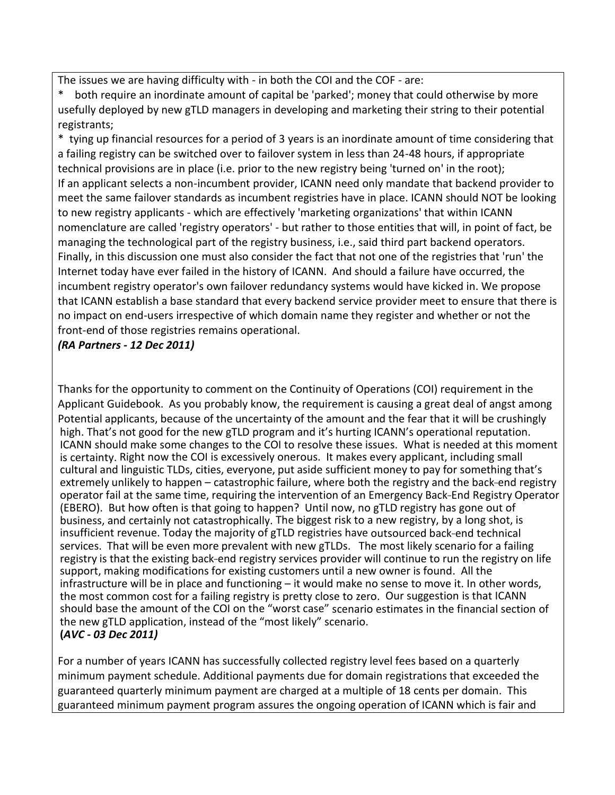The issues we are having difficulty with - in both the COI and the COF - are:

both require an inordinate amount of capital be 'parked'; money that could otherwise by more usefully deployed by new gTLD managers in developing and marketing their string to their potential registrants;

\* tying up financial resources for a period of 3 years is an inordinate amount of time considering that a failing registry can be switched over to failover system in less than 24-48 hours, if appropriate technical provisions are in place (i.e. prior to the new registry being 'turned on' in the root); If an applicant selects a non-incumbent provider, ICANN need only mandate that backend provider to meet the same failover standards as incumbent registries have in place. ICANN should NOT be looking to new registry applicants - which are effectively 'marketing organizations' that within ICANN nomenclature are called 'registry operators' - but rather to those entities that will, in point of fact, be managing the technological part of the registry business, i.e., said third part backend operators. Finally, in this discussion one must also consider the fact that not one of the registries that 'run' the Internet today have ever failed in the history of ICANN. And should a failure have occurred, the incumbent registry operator's own failover redundancy systems would have kicked in. We propose that ICANN establish a base standard that every backend service provider meet to ensure that there is no impact on end-users irrespective of which domain name they register and whether or not the front-end of those registries remains operational.

### *(RA Partners - 12 Dec 2011)*

Thanks for the opportunity to comment on the Continuity of Operations (COI) requirement in the Applicant Guidebook. As you probably know, the requirement is causing a great deal of angst among Potential applicants, because of the uncertainty of the amount and the fear that it will be crushingly high. That's not good for the new gTLD program and it's hurting ICANN's operational reputation. ICANN should make some changes to the COI to resolve these issues. What is needed at this moment is certainty. Right now the COI is excessively onerous. It makes every applicant, including small cultural and linguistic TLDs, cities, everyone, put aside sufficient money to pay for something that's extremely unlikely to happen – catastrophic failure, where both the registry and the back-end registry operator fail at the same time, requiring the intervention of an Emergency Back-End Registry Operator (EBERO). But how often is that going to happen? Until now, no gTLD registry has gone out of business, and certainly not catastrophically. The biggest risk to a new registry, by a long shot, is insufficient revenue. Today the majority of gTLD registries have outsourced back-end technical services. That will be even more prevalent with new gTLDs. The most likely scenario for a failing registry is that the existing back-end registry services provider will continue to run the registry on life support, making modifications for existing customers until a new owner is found. All the infrastructure will be in place and functioning – it would make no sense to move it. In other words, the most common cost for a failing registry is pretty close to zero. Our suggestion is that ICANN should base the amount of the COI on the "worst case" scenario estimates in the financial section of the new gTLD application, instead of the "most likely" scenario. **(***AVC - 03 Dec 2011)*

For a number of years ICANN has successfully collected registry level fees based on a quarterly minimum payment schedule. Additional payments due for domain registrations that exceeded the guaranteed quarterly minimum payment are charged at a multiple of 18 cents per domain. This guaranteed minimum payment program assures the ongoing operation of ICANN which is fair and